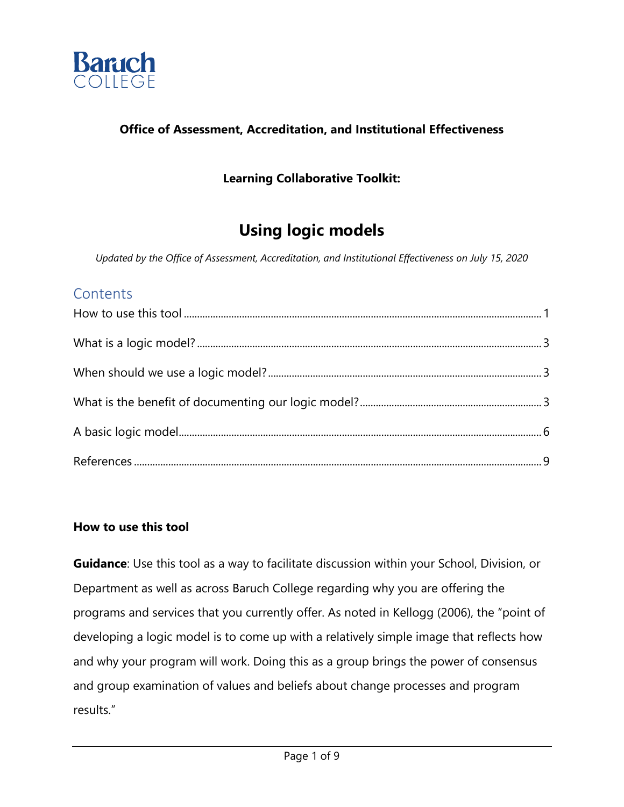

### **Office of Assessment, Accreditation, and Institutional Effectiveness**

## **Learning Collaborative Toolkit:**

## **Using logic models**

*Updated by the Office of Assessment, Accreditation, and Institutional Effectiveness on July 15, 2020* 

## **Contents**

#### **How to use this tool**

**Guidance**: Use this tool as a way to facilitate discussion within your School, Division, or Department as well as across Baruch College regarding why you are offering the programs and services that you currently offer. As noted in Kellogg (2006), the "point of developing a logic model is to come up with a relatively simple image that reflects how and why your program will work. Doing this as a group brings the power of consensus and group examination of values and beliefs about change processes and program results."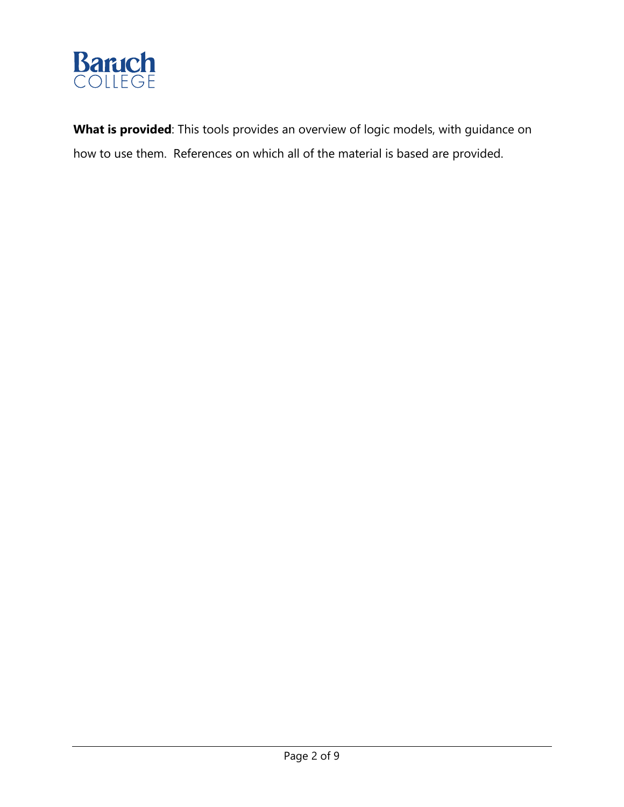

**What is provided**: This tools provides an overview of logic models, with guidance on how to use them. References on which all of the material is based are provided.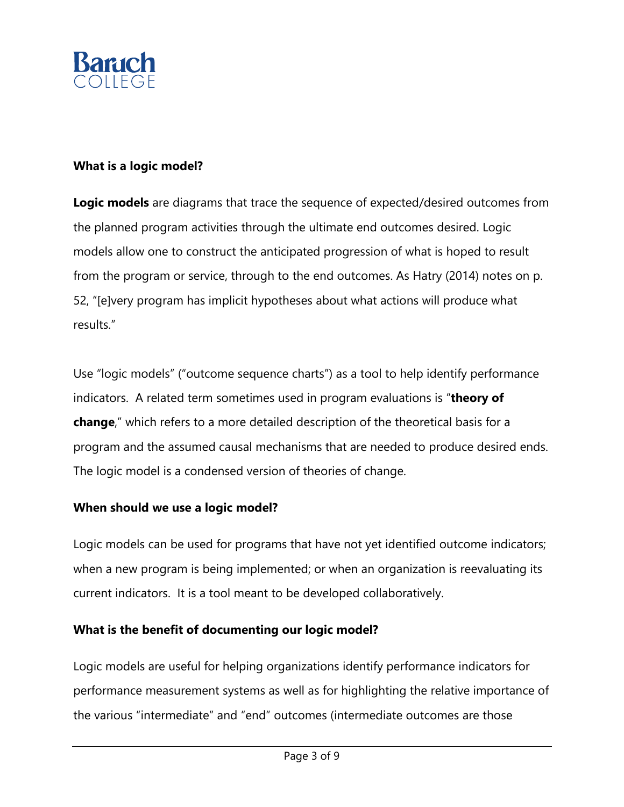

#### **What is a logic model?**

**Logic models** are diagrams that trace the sequence of expected/desired outcomes from the planned program activities through the ultimate end outcomes desired. Logic models allow one to construct the anticipated progression of what is hoped to result from the program or service, through to the end outcomes. As Hatry (2014) notes on p. 52, "[e]very program has implicit hypotheses about what actions will produce what results."

Use "logic models" ("outcome sequence charts") as a tool to help identify performance indicators. A related term sometimes used in program evaluations is "**theory of change**," which refers to a more detailed description of the theoretical basis for a program and the assumed causal mechanisms that are needed to produce desired ends. The logic model is a condensed version of theories of change.

#### **When should we use a logic model?**

Logic models can be used for programs that have not yet identified outcome indicators; when a new program is being implemented; or when an organization is reevaluating its current indicators. It is a tool meant to be developed collaboratively.

#### **What is the benefit of documenting our logic model?**

Logic models are useful for helping organizations identify performance indicators for performance measurement systems as well as for highlighting the relative importance of the various "intermediate" and "end" outcomes (intermediate outcomes are those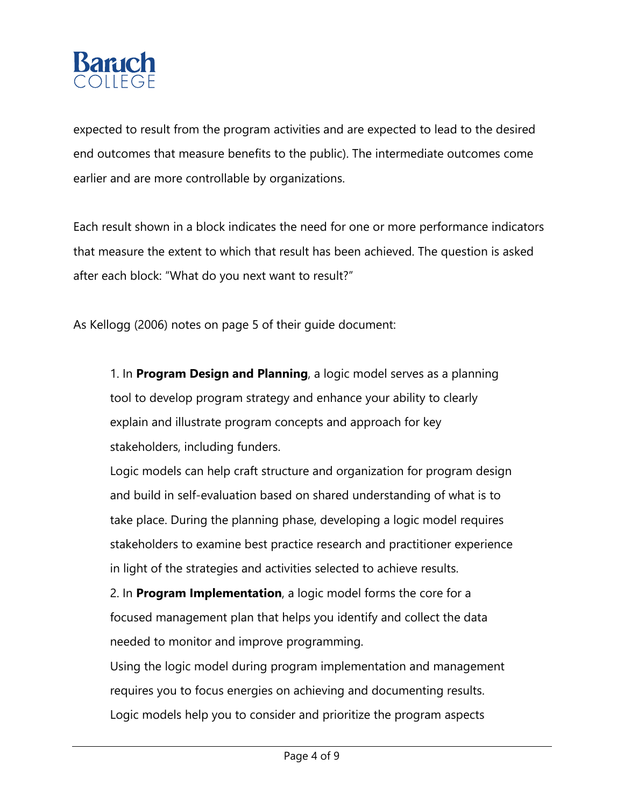

expected to result from the program activities and are expected to lead to the desired end outcomes that measure benefits to the public). The intermediate outcomes come earlier and are more controllable by organizations.

Each result shown in a block indicates the need for one or more performance indicators that measure the extent to which that result has been achieved. The question is asked after each block: "What do you next want to result?"

As Kellogg (2006) notes on page 5 of their guide document:

1. In **Program Design and Planning**, a logic model serves as a planning tool to develop program strategy and enhance your ability to clearly explain and illustrate program concepts and approach for key stakeholders, including funders.

Logic models can help craft structure and organization for program design and build in self-evaluation based on shared understanding of what is to take place. During the planning phase, developing a logic model requires stakeholders to examine best practice research and practitioner experience in light of the strategies and activities selected to achieve results.

2. In **Program Implementation**, a logic model forms the core for a focused management plan that helps you identify and collect the data needed to monitor and improve programming.

Using the logic model during program implementation and management requires you to focus energies on achieving and documenting results. Logic models help you to consider and prioritize the program aspects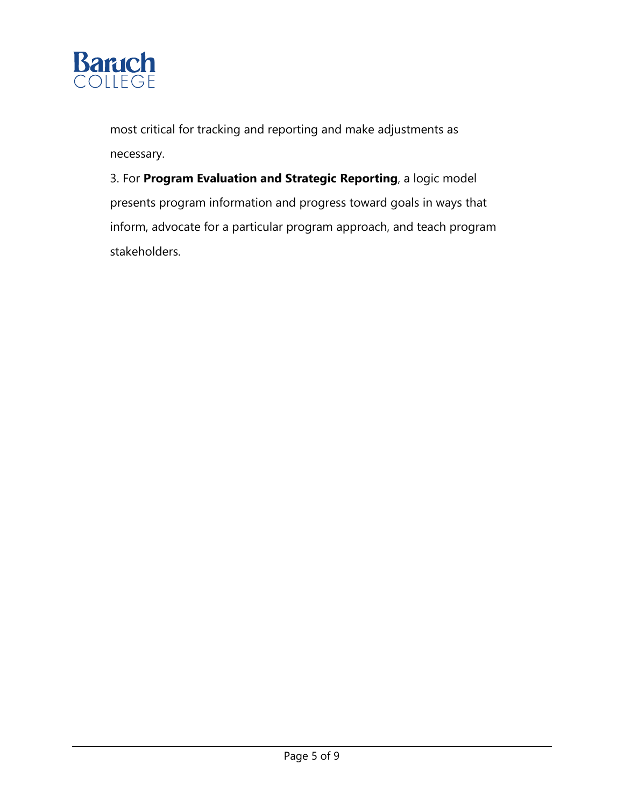

most critical for tracking and reporting and make adjustments as necessary.

3. For **Program Evaluation and Strategic Reporting**, a logic model presents program information and progress toward goals in ways that inform, advocate for a particular program approach, and teach program stakeholders.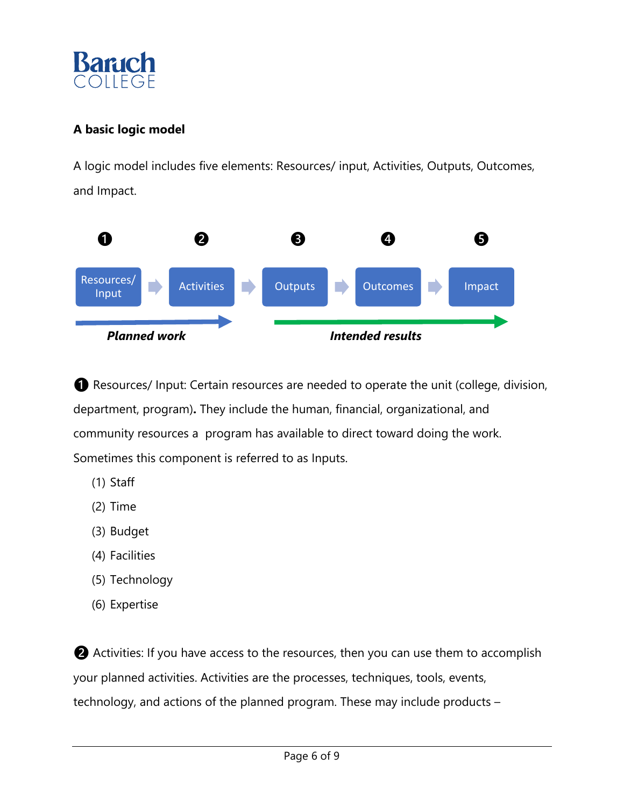

## **A basic logic model**

A logic model includes five elements: Resources/ input, Activities, Outputs, Outcomes, and Impact.



❶ Resources/ Input: Certain resources are needed to operate the unit (college, division, department, program)**.** They include the human, financial, organizational, and community resources a program has available to direct toward doing the work. Sometimes this component is referred to as Inputs.

- (1) Staff
- (2) Time
- (3) Budget
- (4) Facilities
- (5) Technology
- (6) Expertise

❷ Activities: If you have access to the resources, then you can use them to accomplish your planned activities. Activities are the processes, techniques, tools, events, technology, and actions of the planned program. These may include products –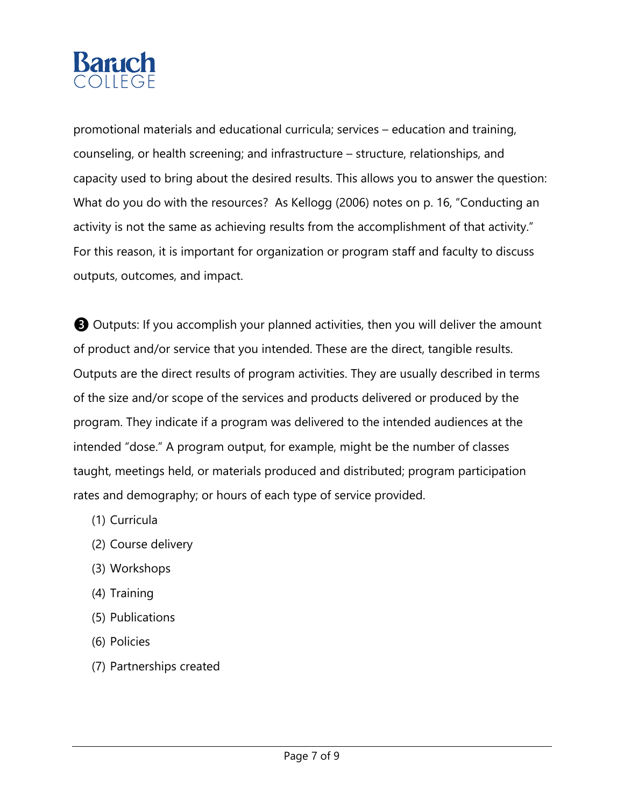

promotional materials and educational curricula; services – education and training, counseling, or health screening; and infrastructure – structure, relationships, and capacity used to bring about the desired results. This allows you to answer the question: What do you do with the resources? As Kellogg (2006) notes on p. 16, "Conducting an activity is not the same as achieving results from the accomplishment of that activity." For this reason, it is important for organization or program staff and faculty to discuss outputs, outcomes, and impact.

❸ Outputs: If you accomplish your planned activities, then you will deliver the amount of product and/or service that you intended. These are the direct, tangible results. Outputs are the direct results of program activities. They are usually described in terms of the size and/or scope of the services and products delivered or produced by the program. They indicate if a program was delivered to the intended audiences at the intended "dose." A program output, for example, might be the number of classes taught, meetings held, or materials produced and distributed; program participation rates and demography; or hours of each type of service provided.

- (1) Curricula
- (2) Course delivery
- (3) Workshops
- (4) Training
- (5) Publications
- (6) Policies
- (7) Partnerships created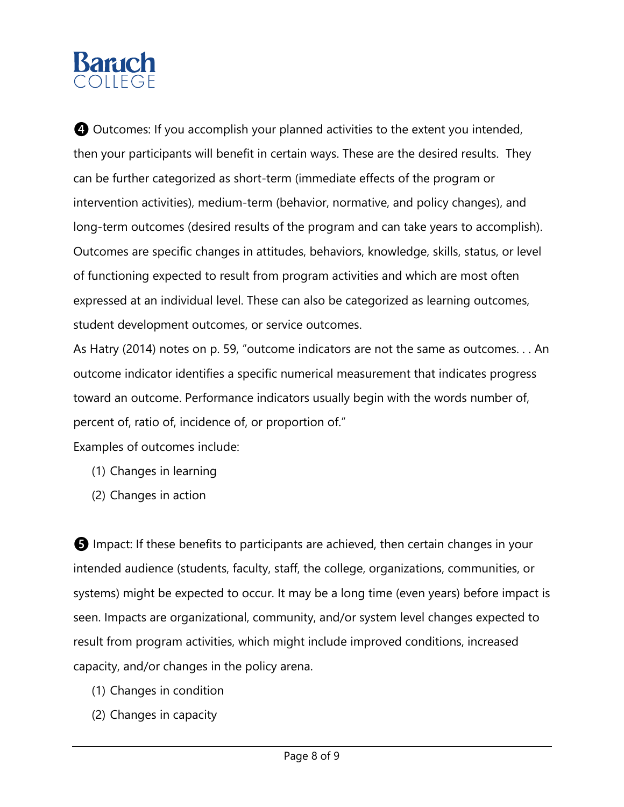# **Banich** COLLEGE

**4** Outcomes: If you accomplish your planned activities to the extent you intended, then your participants will benefit in certain ways. These are the desired results. They can be further categorized as short-term (immediate effects of the program or intervention activities), medium-term (behavior, normative, and policy changes), and long-term outcomes (desired results of the program and can take years to accomplish). Outcomes are specific changes in attitudes, behaviors, knowledge, skills, status, or level of functioning expected to result from program activities and which are most often expressed at an individual level. These can also be categorized as learning outcomes, student development outcomes, or service outcomes.

As Hatry (2014) notes on p. 59, "outcome indicators are not the same as outcomes. . . An outcome indicator identifies a specific numerical measurement that indicates progress toward an outcome. Performance indicators usually begin with the words number of, percent of, ratio of, incidence of, or proportion of."

Examples of outcomes include:

- (1) Changes in learning
- (2) Changes in action

❺ Impact: If these benefits to participants are achieved, then certain changes in your intended audience (students, faculty, staff, the college, organizations, communities, or systems) might be expected to occur. It may be a long time (even years) before impact is seen. Impacts are organizational, community, and/or system level changes expected to result from program activities, which might include improved conditions, increased capacity, and/or changes in the policy arena.

- (1) Changes in condition
- (2) Changes in capacity